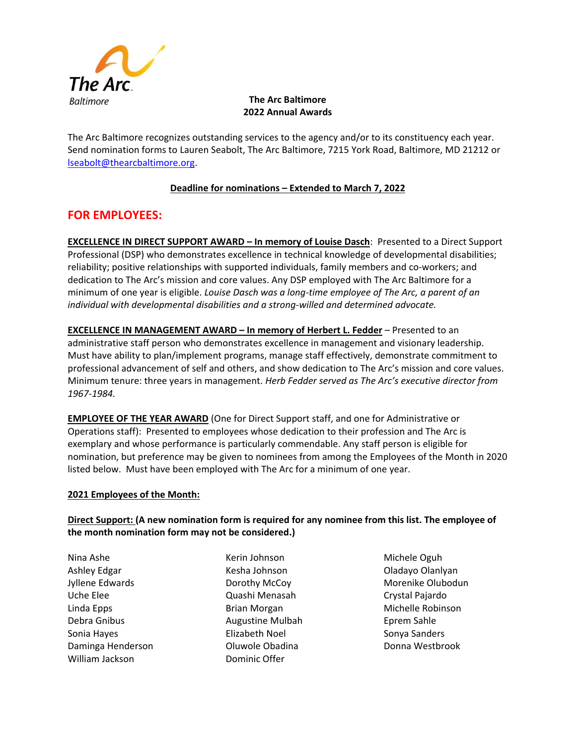

## **The Arc Baltimore 2022 Annual Awards**

The Arc Baltimore recognizes outstanding services to the agency and/or to its constituency each year. Send nomination forms to Lauren Seabolt, The Arc Baltimore, 7215 York Road, Baltimore, MD 21212 or [lseabolt@thearcbaltimore.org.](mailto:lseabolt@thearcbaltimore.org)

## **Deadline for nominations – Extended to March 7, 2022**

# **FOR EMPLOYEES:**

**EXCELLENCE IN DIRECT SUPPORT AWARD – In memory of Louise Dasch**: Presented to a Direct Support Professional (DSP) who demonstrates excellence in technical knowledge of developmental disabilities; reliability; positive relationships with supported individuals, family members and co-workers; and dedication to The Arc's mission and core values. Any DSP employed with The Arc Baltimore for a minimum of one year is eligible. *Louise Dasch was a long-time employee of The Arc, a parent of an individual with developmental disabilities and a strong-willed and determined advocate.*

**EXCELLENCE IN MANAGEMENT AWARD - In memory of Herbert L. Fedder - Presented to an** administrative staff person who demonstrates excellence in management and visionary leadership. Must have ability to plan/implement programs, manage staff effectively, demonstrate commitment to professional advancement of self and others, and show dedication to The Arc's mission and core values. Minimum tenure: three years in management. *Herb Fedder served as The Arc's executive director from 1967-1984.* 

**EMPLOYEE OF THE YEAR AWARD** (One for Direct Support staff, and one for Administrative or Operations staff): Presented to employees whose dedication to their profession and The Arc is exemplary and whose performance is particularly commendable. Any staff person is eligible for nomination, but preference may be given to nominees from among the Employees of the Month in 2020 listed below. Must have been employed with The Arc for a minimum of one year.

### **2021 Employees of the Month:**

## **Direct Support: (A new nomination form is required for any nominee from this list. The employee of the month nomination form may not be considered.)**

Nina Ashe Ashley Edgar Jyllene Edwards Uche Elee Linda Epps Debra Gnibus Sonia Hayes Daminga Henderson William Jackson

Kerin Johnson Kesha Johnson Dorothy McCoy Quashi Menasah Brian Morgan Augustine Mulbah Elizabeth Noel Oluwole Obadina Dominic Offer

Michele Oguh Oladayo Olanlyan Morenike Olubodun Crystal Pajardo Michelle Robinson Eprem Sahle Sonya Sanders Donna Westbrook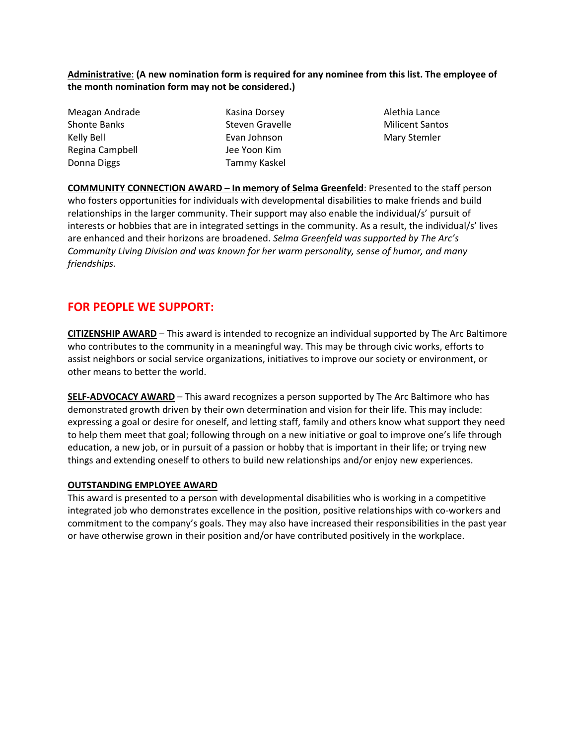**Administrative**: **(A new nomination form is required for any nominee from this list. The employee of the month nomination form may not be considered.)**

| Meagan Andrade      | Kasin |
|---------------------|-------|
| <b>Shonte Banks</b> | Steve |
| Kelly Bell          | Evan  |
| Regina Campbell     | Jee Y |
| Donna Diggs         | Tamr  |

a Dorsey en Gravelle Johnson oon Kim ny Kaskel

Alethia Lance Milicent Santos Mary Stemler

**COMMUNITY CONNECTION AWARD – In memory of Selma Greenfeld**: Presented to the staff person who fosters opportunities for individuals with developmental disabilities to make friends and build relationships in the larger community. Their support may also enable the individual/s' pursuit of interests or hobbies that are in integrated settings in the community. As a result, the individual/s' lives are enhanced and their horizons are broadened. *Selma Greenfeld was supported by The Arc's Community Living Division and was known for her warm personality, sense of humor, and many friendships.*

# **FOR PEOPLE WE SUPPORT:**

**CITIZENSHIP AWARD** – This award is intended to recognize an individual supported by The Arc Baltimore who contributes to the community in a meaningful way. This may be through civic works, efforts to assist neighbors or social service organizations, initiatives to improve our society or environment, or other means to better the world.

**SELF-ADVOCACY AWARD** – This award recognizes a person supported by The Arc Baltimore who has demonstrated growth driven by their own determination and vision for their life. This may include: expressing a goal or desire for oneself, and letting staff, family and others know what support they need to help them meet that goal; following through on a new initiative or goal to improve one's life through education, a new job, or in pursuit of a passion or hobby that is important in their life; or trying new things and extending oneself to others to build new relationships and/or enjoy new experiences.

### **OUTSTANDING EMPLOYEE AWARD**

This award is presented to a person with developmental disabilities who is working in a competitive integrated job who demonstrates excellence in the position, positive relationships with co-workers and commitment to the company's goals. They may also have increased their responsibilities in the past year or have otherwise grown in their position and/or have contributed positively in the workplace.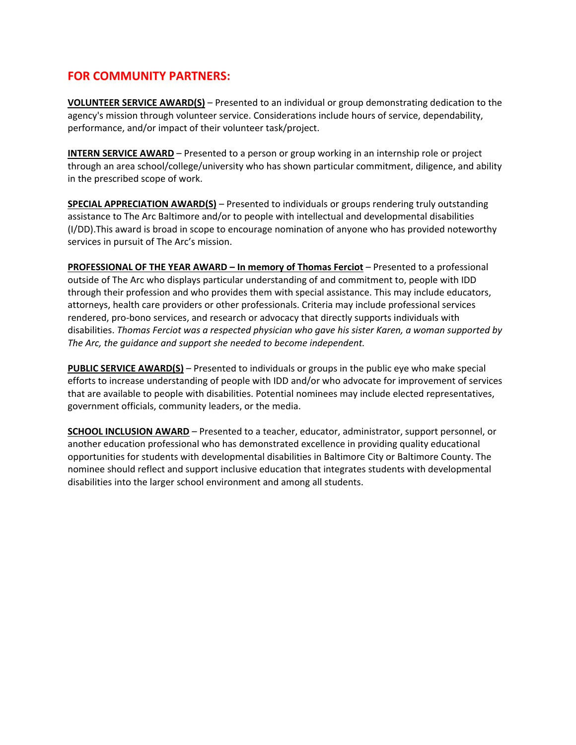# **FOR COMMUNITY PARTNERS:**

**VOLUNTEER SERVICE AWARD(S)** – Presented to an individual or group demonstrating dedication to the agency's mission through volunteer service. Considerations include hours of service, dependability, performance, and/or impact of their volunteer task/project.

**INTERN SERVICE AWARD** – Presented to a person or group working in an internship role or project through an area school/college/university who has shown particular commitment, diligence, and ability in the prescribed scope of work.

**SPECIAL APPRECIATION AWARD(S)** – Presented to individuals or groups rendering truly outstanding assistance to The Arc Baltimore and/or to people with intellectual and developmental disabilities (I/DD).This award is broad in scope to encourage nomination of anyone who has provided noteworthy services in pursuit of The Arc's mission.

**PROFESSIONAL OF THE YEAR AWARD – In memory of Thomas Ferciot** – Presented to a professional outside of The Arc who displays particular understanding of and commitment to, people with IDD through their profession and who provides them with special assistance. This may include educators, attorneys, health care providers or other professionals. Criteria may include professional services rendered, pro-bono services, and research or advocacy that directly supports individuals with disabilities. *Thomas Ferciot was a respected physician who gave his sister Karen, a woman supported by The Arc, the guidance and support she needed to become independent.* 

**PUBLIC SERVICE AWARD(S)** – Presented to individuals or groups in the public eye who make special efforts to increase understanding of people with IDD and/or who advocate for improvement of services that are available to people with disabilities. Potential nominees may include elected representatives, government officials, community leaders, or the media.

**SCHOOL INCLUSION AWARD** – Presented to a teacher, educator, administrator, support personnel, or another education professional who has demonstrated excellence in providing quality educational opportunities for students with developmental disabilities in Baltimore City or Baltimore County. The nominee should reflect and support inclusive education that integrates students with developmental disabilities into the larger school environment and among all students.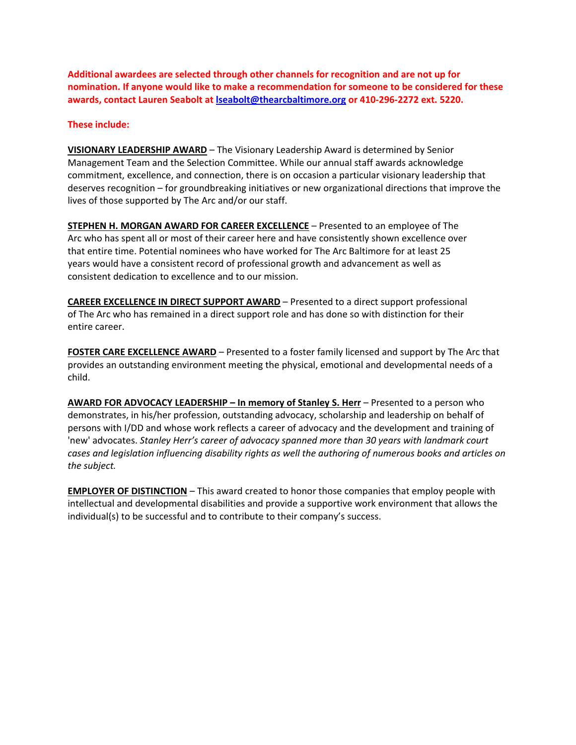**Additional awardees are selected through other channels for recognition and are not up for nomination. If anyone would like to make a recommendation for someone to be considered for these awards, contact Lauren Seabolt a[t lseabolt@thearcbaltimore.org](mailto:lseabolt@thearcbaltimore.org) or 410-296-2272 ext. 5220.** 

#### **These include:**

**VISIONARY LEADERSHIP AWARD** – The Visionary Leadership Award is determined by Senior Management Team and the Selection Committee. While our annual staff awards acknowledge commitment, excellence, and connection, there is on occasion a particular visionary leadership that deserves recognition – for groundbreaking initiatives or new organizational directions that improve the lives of those supported by The Arc and/or our staff.

**STEPHEN H. MORGAN AWARD FOR CAREER EXCELLENCE** – Presented to an employee of The Arc who has spent all or most of their career here and have consistently shown excellence over that entire time. Potential nominees who have worked for The Arc Baltimore for at least 25 years would have a consistent record of professional growth and advancement as well as consistent dedication to excellence and to our mission.

**CAREER EXCELLENCE IN DIRECT SUPPORT AWARD** – Presented to a direct support professional of The Arc who has remained in a direct support role and has done so with distinction for their entire career.

**FOSTER CARE EXCELLENCE AWARD** – Presented to a foster family licensed and support by The Arc that provides an outstanding environment meeting the physical, emotional and developmental needs of a child.

**AWARD FOR ADVOCACY LEADERSHIP – In memory of Stanley S. Herr** – Presented to a person who demonstrates, in his/her profession, outstanding advocacy, scholarship and leadership on behalf of persons with I/DD and whose work reflects a career of advocacy and the development and training of 'new' advocates. *Stanley Herr's career of advocacy spanned more than 30 years with landmark court cases and legislation influencing disability rights as well the authoring of numerous books and articles on the subject.* 

**EMPLOYER OF DISTINCTION** – This award created to honor those companies that employ people with intellectual and developmental disabilities and provide a supportive work environment that allows the individual(s) to be successful and to contribute to their company's success.